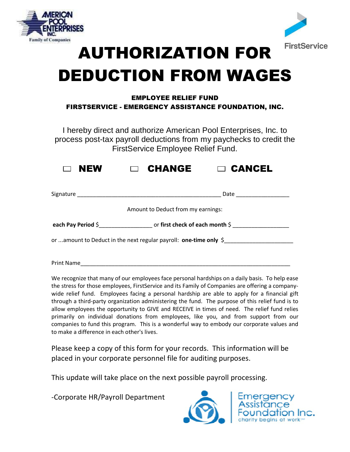



## AUTHORIZATION FOR DEDUCTION FROM WAGES

## EMPLOYEE RELIEF FUND FIRSTSERVICE - EMERGENCY ASSISTANCE FOUNDATION, INC.

I hereby direct and authorize American Pool Enterprises, Inc. to process post-tax payroll deductions from my paychecks to credit the FirstService Employee Relief Fund.

| $\Box$ NEW | <b>CHANGE</b> | $\Box$ CANCEL |
|------------|---------------|---------------|
|------------|---------------|---------------|

|                                                                               | Date                                 |  |  |
|-------------------------------------------------------------------------------|--------------------------------------|--|--|
|                                                                               | Amount to Deduct from my earnings:   |  |  |
| each Pay Period $\hat{\varsigma}$                                             | or first check of each month $\zeta$ |  |  |
| or amount to Deduct in the next regular payroll: <b>one-time only</b> $\oint$ |                                      |  |  |

Print Name

We recognize that many of our employees face personal hardships on a daily basis. To help ease the stress for those employees, FirstService and its Family of Companies are offering a companywide relief fund. Employees facing a personal hardship are able to apply for a financial gift through a third-party organization administering the fund. The purpose of this relief fund is to allow employees the opportunity to GIVE and RECEIVE in times of need. The relief fund relies primarily on individual donations from employees, like you, and from support from our companies to fund this program. This is a wonderful way to embody our corporate values and to make a difference in each other's lives.

Please keep a copy of this form for your records. This information will be placed in your corporate personnel file for auditing purposes.

This update will take place on the next possible payroll processing.

-Corporate HR/Payroll Department